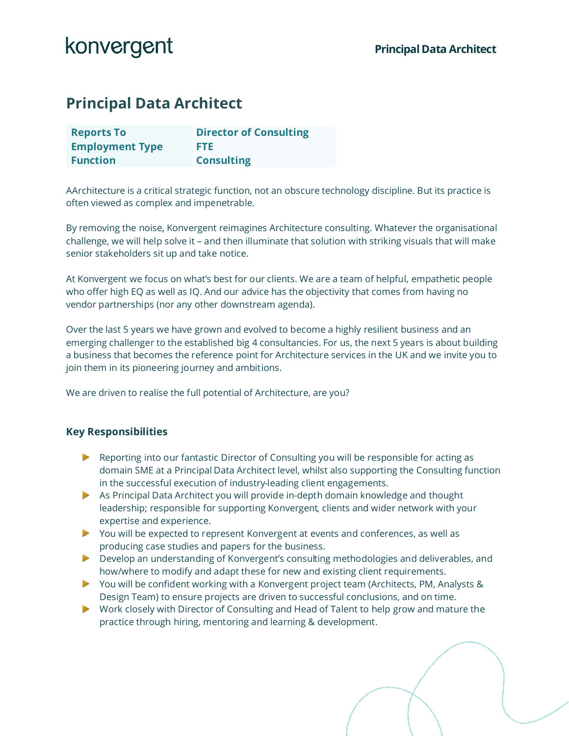# **Principal Data Architect**

| <b>Reports To</b>      | <b>Director of Consulting</b> |
|------------------------|-------------------------------|
| <b>Employment Type</b> | FT E.                         |
| <b>Function</b>        | <b>Consulting</b>             |

AArchitecture is a critical strategic function, not an obscure technology discipline. But its practice is often viewed as complex and impenetrable.

By removing the noise, Konvergent reimagines Architecture consulting. Whatever the organisational challenge, we will help solve it – and then illuminate that solution with striking visuals that will make senior stakeholders sit up and take notice.

At Konvergent we focus on what's best for our clients. We are a team of helpful, empathetic people who offer high EQ as well as IQ. And our advice has the objectivity that comes from having no vendor partnerships (nor any other downstream agenda).

Over the last 5 years we have grown and evolved to become a highly resilient business and an emerging challenger to the established big 4 consultancies. For us, the next 5 years is about building a business that becomes the reference point for Architecture services in the UK and we invite you to join them in its pioneering journey and ambitions.

We are driven to realise the full potential of Architecture, are you?

#### **Key Responsibilities**

- Reporting into our fantastic Director of Consulting you will be responsible for acting as domain SME at a Principal Data Architect level, whilst also supporting the Consulting function in the successful execution of industry-leading client engagements.
- As Principal Data Architect you will provide in-depth domain knowledge and thought leadership; responsible for supporting Konvergent, clients and wider network with your expertise and experience.
- You will be expected to represent Konvergent at events and conferences, as well as producing case studies and papers for the business.
- Develop an understanding of Konvergent's consulting methodologies and deliverables, and how/where to modify and adapt these for new and existing client requirements.
- You will be confident working with a Konvergent project team (Architects, PM, Analysts & Design Team) to ensure projects are driven to successful conclusions, and on time.
- Work closely with Director of Consulting and Head of Talent to help grow and mature the practice through hiring, mentoring and learning & development.